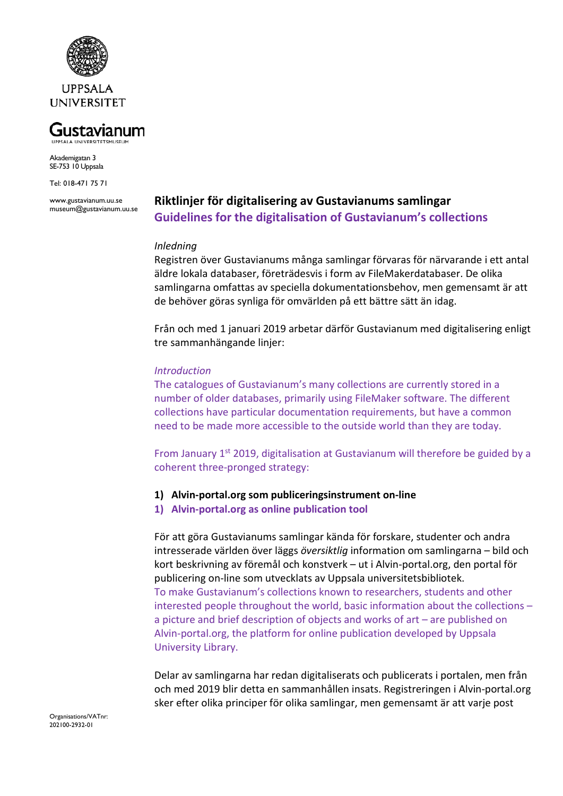

#### Gustavianum **UPPSALA UNIVERSITETSMUSEUM**

Akademigatan 3 SE-753 10 Uppsala

Tel: 018-471 75 71

www.gustavianum.uu.se museum@gustavianum.uu.se

# **Riktlinjer för digitalisering av Gustavianums samlingar Guidelines for the digitalisation of Gustavianum's collections**

#### *Inledning*

Registren över Gustavianums många samlingar förvaras för närvarande i ett antal äldre lokala databaser, företrädesvis i form av FileMakerdatabaser. De olika samlingarna omfattas av speciella dokumentationsbehov, men gemensamt är att de behöver göras synliga för omvärlden på ett bättre sätt än idag.

Från och med 1 januari 2019 arbetar därför Gustavianum med digitalisering enligt tre sammanhängande linjer:

#### *Introduction*

The catalogues of Gustavianum's many collections are currently stored in a number of older databases, primarily using FileMaker software. The different collections have particular documentation requirements, but have a common need to be made more accessible to the outside world than they are today.

From January 1<sup>st</sup> 2019, digitalisation at Gustavianum will therefore be guided by a coherent three-pronged strategy:

#### **1) Alvin-portal.org som publiceringsinstrument on-line**

**1) Alvin-portal.org as online publication tool**

För att göra Gustavianums samlingar kända för forskare, studenter och andra intresserade världen över läggs *översiktlig* information om samlingarna – bild och kort beskrivning av föremål och konstverk – ut i Alvin-portal.org, den portal för publicering on-line som utvecklats av Uppsala universitetsbibliotek. To make Gustavianum's collections known to researchers, students and other interested people throughout the world, basic information about the collections – a picture and brief description of objects and works of art – are published on Alvin-portal.org, the platform for online publication developed by Uppsala University Library.

Delar av samlingarna har redan digitaliserats och publicerats i portalen, men från och med 2019 blir detta en sammanhållen insats. Registreringen i Alvin-portal.org sker efter olika principer för olika samlingar, men gemensamt är att varje post

Organisations/VATnr: 202100-2932-01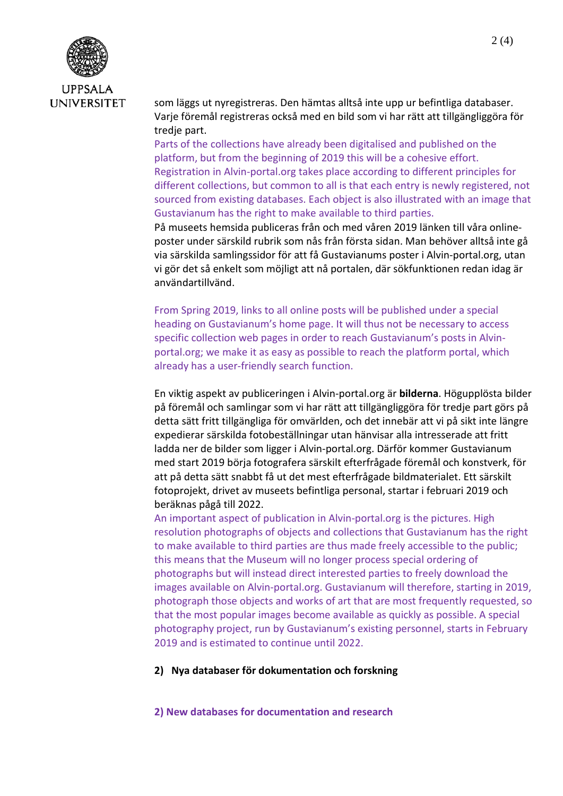

som läggs ut nyregistreras. Den hämtas alltså inte upp ur befintliga databaser. Varje föremål registreras också med en bild som vi har rätt att tillgängliggöra för tredje part.

Parts of the collections have already been digitalised and published on the platform, but from the beginning of 2019 this will be a cohesive effort. Registration in Alvin-portal.org takes place according to different principles for different collections, but common to all is that each entry is newly registered, not sourced from existing databases. Each object is also illustrated with an image that Gustavianum has the right to make available to third parties.

På museets hemsida publiceras från och med våren 2019 länken till våra onlineposter under särskild rubrik som nås från första sidan. Man behöver alltså inte gå via särskilda samlingssidor för att få Gustavianums poster i Alvin-portal.org, utan vi gör det så enkelt som möjligt att nå portalen, där sökfunktionen redan idag är användartillvänd.

From Spring 2019, links to all online posts will be published under a special heading on Gustavianum's home page. It will thus not be necessary to access specific collection web pages in order to reach Gustavianum's posts in Alvinportal.org; we make it as easy as possible to reach the platform portal, which already has a user-friendly search function.

En viktig aspekt av publiceringen i Alvin-portal.org är **bilderna**. Högupplösta bilder på föremål och samlingar som vi har rätt att tillgängliggöra för tredje part görs på detta sätt fritt tillgängliga för omvärlden, och det innebär att vi på sikt inte längre expedierar särskilda fotobeställningar utan hänvisar alla intresserade att fritt ladda ner de bilder som ligger i Alvin-portal.org. Därför kommer Gustavianum med start 2019 börja fotografera särskilt efterfrågade föremål och konstverk, för att på detta sätt snabbt få ut det mest efterfrågade bildmaterialet. Ett särskilt fotoprojekt, drivet av museets befintliga personal, startar i februari 2019 och beräknas pågå till 2022.

An important aspect of publication in Alvin-portal.org is the pictures. High resolution photographs of objects and collections that Gustavianum has the right to make available to third parties are thus made freely accessible to the public; this means that the Museum will no longer process special ordering of photographs but will instead direct interested parties to freely download the images available on Alvin-portal.org. Gustavianum will therefore, starting in 2019, photograph those objects and works of art that are most frequently requested, so that the most popular images become available as quickly as possible. A special photography project, run by Gustavianum's existing personnel, starts in February 2019 and is estimated to continue until 2022.

#### **2) Nya databaser för dokumentation och forskning**

#### **2) New databases for documentation and research**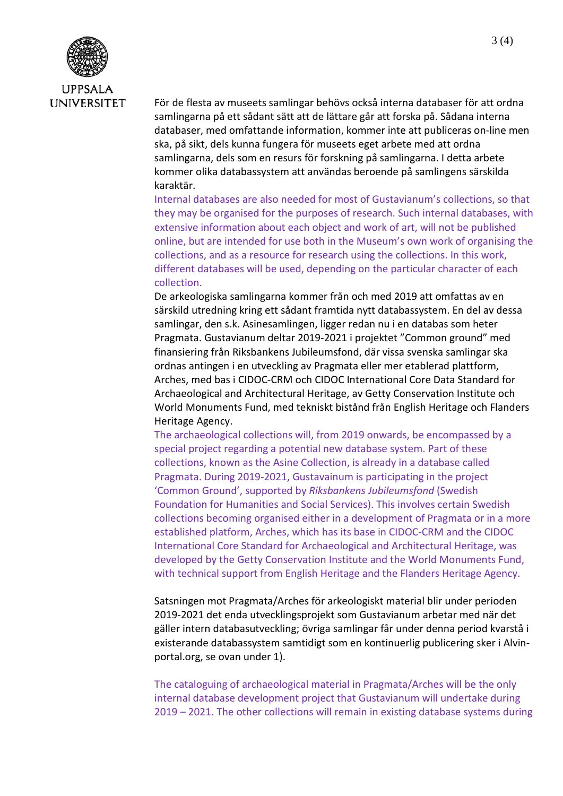

För de flesta av museets samlingar behövs också interna databaser för att ordna samlingarna på ett sådant sätt att de lättare går att forska på. Sådana interna databaser, med omfattande information, kommer inte att publiceras on-line men ska, på sikt, dels kunna fungera för museets eget arbete med att ordna samlingarna, dels som en resurs för forskning på samlingarna. I detta arbete kommer olika databassystem att användas beroende på samlingens särskilda karaktär.

Internal databases are also needed for most of Gustavianum's collections, so that they may be organised for the purposes of research. Such internal databases, with extensive information about each object and work of art, will not be published online, but are intended for use both in the Museum's own work of organising the collections, and as a resource for research using the collections. In this work, different databases will be used, depending on the particular character of each collection.

De arkeologiska samlingarna kommer från och med 2019 att omfattas av en särskild utredning kring ett sådant framtida nytt databassystem. En del av dessa samlingar, den s.k. Asinesamlingen, ligger redan nu i en databas som heter Pragmata. Gustavianum deltar 2019-2021 i projektet "Common ground" med finansiering från Riksbankens Jubileumsfond, där vissa svenska samlingar ska ordnas antingen i en utveckling av Pragmata eller mer etablerad plattform, Arches, med bas i CIDOC-CRM och CIDOC International Core Data Standard for Archaeological and Architectural Heritage, av Getty Conservation Institute och World Monuments Fund, med tekniskt bistånd från English Heritage och Flanders Heritage Agency.

The archaeological collections will, from 2019 onwards, be encompassed by a special project regarding a potential new database system. Part of these collections, known as the Asine Collection, is already in a database called Pragmata. During 2019-2021, Gustavainum is participating in the project 'Common Ground', supported by *Riksbankens Jubileumsfond* (Swedish Foundation for Humanities and Social Services). This involves certain Swedish collections becoming organised either in a development of Pragmata or in a more established platform, Arches, which has its base in CIDOC-CRM and the CIDOC International Core Standard for Archaeological and Architectural Heritage, was developed by the Getty Conservation Institute and the World Monuments Fund, with technical support from English Heritage and the Flanders Heritage Agency.

Satsningen mot Pragmata/Arches för arkeologiskt material blir under perioden 2019-2021 det enda utvecklingsprojekt som Gustavianum arbetar med när det gäller intern databasutveckling; övriga samlingar får under denna period kvarstå i existerande databassystem samtidigt som en kontinuerlig publicering sker i Alvinportal.org, se ovan under 1).

The cataloguing of archaeological material in Pragmata/Arches will be the only internal database development project that Gustavianum will undertake during 2019 – 2021. The other collections will remain in existing database systems during